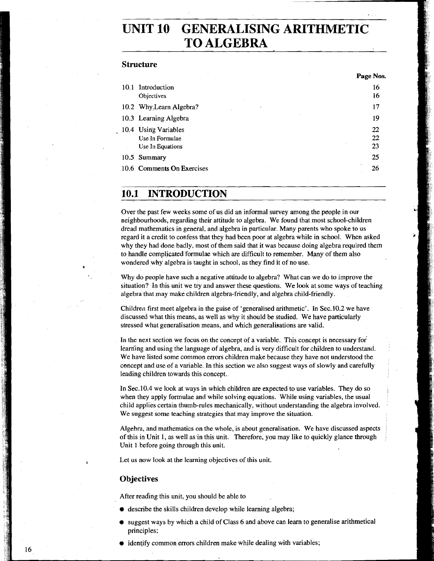# **UNIT 10 GENERALISING ARITHMETIC TO ALGEBRA**

### **Structure**

| Introduction<br>10.1       | 16 |
|----------------------------|----|
| Objectives                 | 16 |
| 10.2 Why Learn Algebra?    | 17 |
| 10.3 Learning Algebra      | 19 |
| 10.4 Using Variables       | 22 |
| Use In Formulae            | 22 |
| Use In Equations           | 23 |
| 10.5 Summary               | 25 |
| 10.6 Comments On Exercises | 26 |

#### **INTRODUCTION**  10.1

Over the past few weeks some of us did an informal survey among the people in our neighbourhoods, regarding their attitude to algebra. We found that most school-children dread mathematics in general, and algebra in particular. Many parents who spoke to us regard it a credit to confess that they had been poor at algebra while in school. When asked why they had done badly, most of them said that it was because doing algebra required them to handle complicated formulae which are difficult to remember. Many of them also wondered why algebra is taught in school, as they find it of no use.

Why do people have such a negative attitude to algebra? What can we do to improve the situation? In this unit we **try** and answer these questions. We look at some ways of teaching algebra that may make children algebra-friendly, and algebra child-friendly.

Children first meet algebra in the guise of 'generalised arithmetic'. In Sec. 10.2 we have discussed what this means, as well as why it should be studied. We have particularly stressed what generalisation means, and which generalisations are valid.

In the next section we focus on the concept of a variable. This concept is necessary for learning and using the language of algebra, and is very difficult for children to understand. We have listed some common errors children make because they have not understood the concept and use of a variable. In this section we also suggest ways of slowly and carefully leading children towards this concept.

In Sec.lO.4 we look at ways in which children are expected to use variables. They do so when they apply formulae and while solving equations. While using variables, the usual child applies certain thumb-rules mechanically, without understanding the algebra involved. We suggest some teaching strategies that may improve the situation.

Algebra, and mathematics on the whole, is about generalisation. We have discussed aspects of this in Unit 1, as well as in this unit. Therefore, you may like to quickly glance through Unit **1** before going through this unit.

Let us now look at the learning objectives of this unit.

### **Objectives**

16

After reading this unit, you should be able to

- describe the skills children develop while learning algebra;
- suggest ways by which a child of Class 6 and above can learn to generalise arithmetical principles;
- $\bullet$  identify common errors children make while dealing with variables;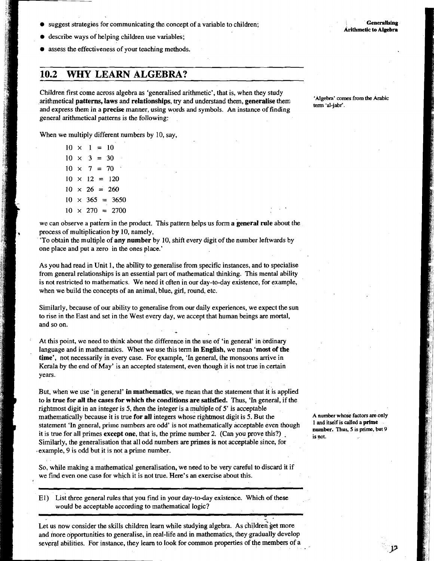- suggest strategies for communicating the concept of a variable to children;
- describe ways of helping children use variables;
- assess the effectiveness of your teaching methods.

# **10.2 WHY LEARN ALGEBRA?**

Children first come across algebra as 'generalised arithmetic', that is, when they study arithmetical **patterns, laws** and **relationships,** try and understand them, **generalise** them and express them in a **precise** manner, using words and symbols. An instance of finding general arithmetical patterns is the following:

When we multiply different numbers by 10, say,

 $10 \times 1 = 10$  $10 \times 3 = 30$  $10 \times 7 = 70$  $10 \times 12 = 120$  $10 \times 26 = 260$  $10 \times 365 = 3650$  $10 \times 270 = 2700$ 

we can observe a patkrn in the product. This pattern helps us form **a general** rule about the process of multiplication by 10, namely,

'To obtain the multiple of **any number** by 10, shift every digit of the number leftwards by one place and put a zero in the ones place.'

As you had read in Unit 1, the ability to generalise from specific instances, and to specialise from general relationships is an essential part of mathematical thinking. This mental ability is not restricted to mathematics. We need it often in our day-to-day existence, for example, when we build the concepts of an animal, blue, girl, round, etc.

Similarly, because of our ability to generalise from our daily experiences, we expect the sun to rise in the East and set in the West every day, we accept that human beings are mortal, and so on.

At this point, we need to think about the difference in the use of 'in general' in ordinary language and in mathematics. When we use this term in **English,** we mean **'most of the time',** not necessarily in every case. For qxample, 'In general, the monsoons arrive in Kerala by the end of May' is an accepted statement, even though it is not true in certain years.

But, when we use 'in general' **in mathematics,** we mean that the statement that it is applied to is **true for all the cases for which the conditions are satisfied.** Thus, **'In** general, if the rightmost digit in an integer is 5, then the integer is a multiple of 5' is acceptable mathematically because it is true **for all** integers whose rightmost digit is 5. But the statement 'In general, prime numbers are odd' is not mathematically acceptable even though it is true for all primes **except one,** that is, the prime number 2. (Can you prove this?) . Similarly, the generalisation that all odd numbers are primes is not acceptable since, for example, 9 is odd but it is not a prime number.

So, while making a mathematical generalisation, we need to be very careful to discard it if we find even one case for which it is not true. Here's an exercise about this.

El) List three general rules that you find in your day-to-day existence. Which of these would be acceptable according to mathematical logic?

A number whose factors are only **1 and itself is called a prime number. Thus, 5 is prime, but 9 is not.** 

**'Algebra' comes from the Arabic term 'al-jabr'** .

**Generalising Arithmetic to Algebra** 

Let us now consider the skills children learn while studying algebra. As children get more and more opportunities to generalise, in real-life and in mathematics, they gradually develop several abilities. For instance, they learn to look for common properties of the members of a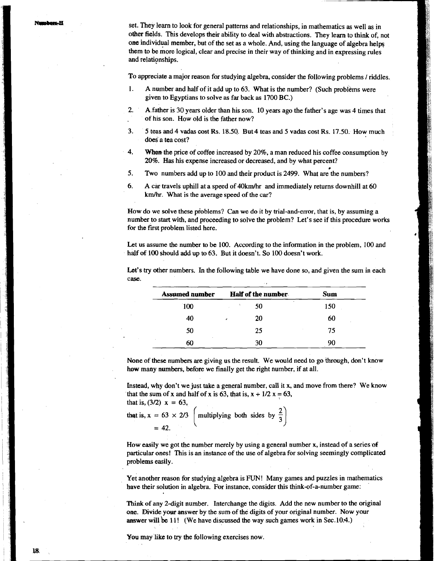set. They learn to look for general patterns and relationships, in mathematics as well as in ofher fields. This develops their ability to deal with abstractions. They learn to think of, not one individual member, but of the set as a whole. And, using the language of algebra helps them to be more logical, clear and precise in their way of thinking and in expressing rules and relationships.

To appreciate a major reason for studying algebra, consider the following problems / riddles.

- 1. A number and half of it add up to 63. What is the number? (Such problems were given to Egyptians to solve as far back as 1700 BC.)
- 2. A.father is 30 years older than his son. 10 years ago the father's age was 4 times that of his son. How old is the father now?

- **3.** 5 teas and 4 vadas cost Rs. 18.50. But 4 teas and 5 vadas cost Rs. 17.50. How much does a tea cost?
- **4. When** the price of coffee increased by 20%, a man reduced his coffee consumption by 20%. Has his expense increased or decreased, and by what percent?
- 5. Two numbers add up to 100 and their product is 2499. What are the numbers?
- 6. A car travels uphill at a speed of 40kmJhr and immediately returns downhill at 60 km/hr. What is the average speed of the car?

How do we solve these pioblems? Can we do it by trial-and-error, that is, by assuming a number to start with, and proceeding to solve the problem? Let's see if this procedure works for the first problem listed here.

Let us assume the number to be 100. According to the information in the problem, 100 and half **of** 100 should add up to 63. But it doesn't. So 100 doesn't work.

| <b>Assumed number</b> | Half of the number | Sum |
|-----------------------|--------------------|-----|
| 100                   | 50                 | 150 |
| 40                    | 20                 | 60  |
| 50                    | 25                 | 75  |
| 60                    | 30                 | 90  |

Let's try other numbers. In the following table we have done so, and given the sum in each case.

None of these numbers are giving us the result. We would need to go through, don't know **how** many numbers, before we finally get the right number, if at all.

Instead, why don't we just take a general number, call it x, and move frorn there? We know that the sum of x and half of x is 63, that is,  $x + \frac{1}{2}x = 63$ , that is,  $(3/2) x = 63$ 

that is, 
$$
(3/2) \times 2 = 0.3
$$
,  
that is,  $x = 63 \times 2/3$  [multiplying both sides by  $\frac{1}{2}$ ]  
= 42.

How easily we got the number merely by using a general number x, instead of a series of particular ones! This is an instance of the use of algebra for solving seemingly complicated problems easily.

Yet another reason for studying algebra is FUN! Many games and puzzles in mathematics have their solution in algebra. For instance, consider this think-of-a-number game:

Think of any 2-digit number. Interchange the digits. Add the new number to the original one. Divide your answer by the sum of the digits of your original number. Now your **answer will be 11!** (We have discussed the way such games work in Sec.10.4.)

**You** may like to try the following exercises now.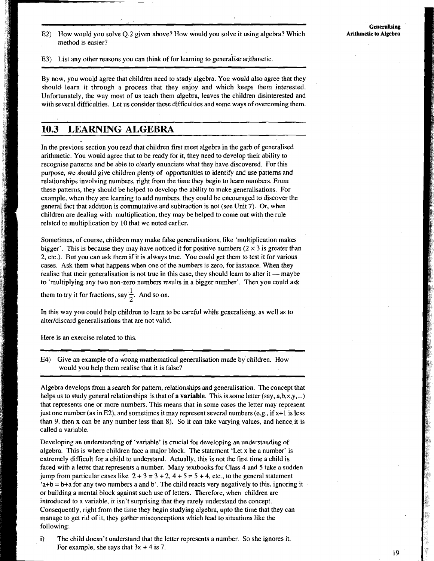E2) How would you solve Q.2 given above? How would you solve it using algebra? Which method is easier?

E3) List any other reasons you can think of for learning to generalise arithmetic.

By now, you would agree that children need to study algebra. You would also agree that they should learn it through a process that they enjoy and which keeps them interested. Unfortunately, the way most of us teach them algebra, leaves the children disinterested and with several difficulties. Let us consider these difficulties and some ways of overcoming them.

## **10.3 LEARNING ALGEBRA**

In the previous section you read that children first meet algebra in the garb of generalised arithmetic. You would agree that to be ready for it, they need to develop their ability to recognise patterns and be able to clearly enunciate what they have discovered. For this purpose, we should give children plenty of opportunities to identify and use patterns and relationships involving numbers, right from the time they begin to learn numbers. From these patterns, they should be helped to develop the ability to make generalisations. For example, when they are learning to add numbers, they could be encouraged to discover the general fact that addition is commutative and subtraction is not (see Unit 7). Or, when children are dealing with multiplication, they may be helped to come out with the rule related to multiplication by 10 that we noted earlier.

Sometimes, of course, children may make false generalisations, like 'multiplication makes bigger'. This is because they may have noticed it for positive numbers  $(2 \times 3)$  is greater than 2, etc.). But you can ask them if it is always true. You could get them to test it for various cases. Ask them what happens when one of the numbers is zero, for instance. When they realise that their generalisation is not true in this case, they should learn to alter it — maybe to 'multiplying any two non-zero numbers results in a bigger number'. Then you could ask

them to try it for fractions, say  $\frac{1}{2}$ . And so on.

In this way you could help children to learn to be careful while generalising, as well as to alter/discard generalisations that are not valid.

Here is an exercise related to this.

here is an exercise related to this.<br>
E4) Give an example of a wrong mathematical generalisation made by children. How would you help them realise that it is false?

Algebra develops from a search for pattern, relationships and generalisation. The concept that helps us to study general relationships is that of a variable. This is some letter  $(say, a, b, x, y, ...)$ that represents one or more numbers. This means that in some cases the letter may represent just one number (as in E2), and sometimes it may represent several numbers (e.g., if  $x+1$  is less than 9, then x can be any number less than 8). So it can take varying values, and hence it is called a variable.

Developing an understanding of 'variable' is crucial for developing an understanding of algebra. This is where children face a major block. The statement 'Let x be a number' is extremely difficult for a child to understand. Actually, this is not the first time a child is faced with a letter that represents a number. Many textbooks for Class 4 and 5 take a sudden jump from particular cases like  $2 + 3 = 3 + 2$ ,  $4 + 5 = 5 + 4$ , etc., to the general statement 'a+b = b+a for any two numbers a and b'. The child reacts very negatively to this, ignoring it or building a mental block against such use of letters. Therefore, when children are introduced to a variable, it isn't surprising that they rarely understand the concept. Consequently, right from the time they begin studying algebra, upto the time that they can manage to get rid of it, they gather misconceptions which lead to situations like the following:

i) The child doesn't understand that the letter represents a number. So she ignores it. For example, she says that  $3x + 4$  is 7.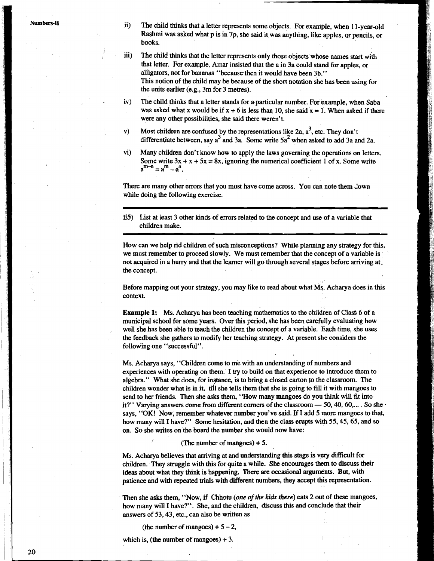ii) The child thinks that a letter represents some objects. For example, when 1 1-year-old Rashmi was asked what p is in 7p, she said it was anything, like apples, or pencils, or books.

- iii) The child thinks that the letter represents only those objects whose names start with that letter. For example, Amar insisted that the a in 3a could stand for apples, or alligators, not for bananas "because then it would have been 3b." This notion of the child may be because of the short notation she has been using for the units earlier (e.g., 3m for 3 metres).
- iv) The child thinks that a letter stands for a particular number. For example, when Saba was asked what x would be if  $x + 6$  is less than 10, she said  $x = 1$ . When asked if there were any other possibilities, she said there weren't.
- v) Most children are confused by the representations like  $2a$ ,  $a^3$ , etc. They don't differentiate between, say  $a^3$  and 3a. Some write  $5a^2$  when asked to add 3a and 2a.
- vi) Many children don't know how to apply the laws governing the operations on letters. Some write  $3x + x + 5x = 8x$ , ignoring the numerical coefficient 1 of x. Some write  $a^{m-n} = a^m - a^n$ .

There are many other errors that you must have come across. You can note them Jown while doing the following exercise.

E5) list at least 3 other kinds of errors related to the concept and use of a variable that children make.

How can we help rid children of such misconceptions? While planning any strategy for this, we must remember to proceed slowly. We must remember that the concept of a variable is not acquired in a huny and that the learner will go through several stages before arriving at. the concept.

Before mapping out your strategy, you may Iike to read about what **MS.** Acharya does in this context.

Example 1: Ms. Acharya has been teaching mathematics to the children of Class 6 of a municipal school for some years. Over this period, she has been carefully evaluating how well she has been able to teach the children the concept of a variable. Each time, she uses the feedback she gathers to modify her teaching strategy. At present she considers the following one "successful".

Ms. Acharya says, "Children come to me with an understanding of numbers and experiences with operating on them. I try to build on that experience to introduce them to algebra.'' What she does, for instance, is to bring a closed carton to the classroom. The experiences with operating on them. I try to build on that experience to introduce them to algebra." What she does, for instance, is to bring a closed carton to the classroom. The children wonder what is in it, till she te send to her friends. Then she asks them, "How many mangoes do you think will fit into it?" Varying answers come from different corners of the classroom  $-$  50, 40, 60,... . So she says, "OK! Now, remember whatever number you've said. If I add 5 **more** mangoes to that, how many will I have?" Some hesitation, and then the class erupts with 55,45,65, and so on. So she writes on the board the number she would now have:

### (The number of mangoes)  $+ 5$ .

Ms. Acharya believes that arriving at and understanding this stage is very difficult for children. They struggle with this for quite a while. She encourages them to discuss their ideas about what they think is happening. There are occasional arguments. But, with patience and with repeated trials with different numbers, they accept this representation.

Then she asks them, "Now, if Chhotu (one of the kids there) eats 2 out of these mangoes, how many will I have?". She, and the children, discuss this and conclude that their answers of 53,43, etc., can also be written as

(the number of mangoes)  $+5-2$ ,

which is, (the number of mangoes)  $+3$ .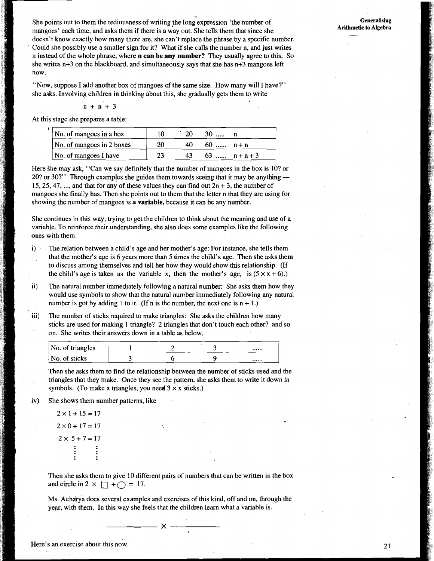She points out to them the tediousness of writing the long expression 'the number of mangoes' each time, and asks them if there is a way out. She tells them that since she doesn't know exactly how many there are, she can't replace the phrase by a specific number. Could she possibly use a smaller sign for it? What if she calls the number n, and just writes n instead of the whole phrase, where **n can be any number?** They usually agree to this. So she writes n+3 on the blackboard, and simultaneously says that she has n+3 mangoes left now.

"Now, suppose I add another box of mangoes of the same size. How many will I have?" she asks. Involving children in thinking about this, she gradually gets them to write

$$
n + n + 3
$$

At this stage she prepares a table:

| No. of mangoes in a box   |     |    |            |              |
|---------------------------|-----|----|------------|--------------|
| No. of mangoes in 2 boxes | -20 | 40 | $60$ $n+n$ |              |
| No. of mangoes I have     |     | 43 |            | $63$ $n+n+3$ |

Here she may ask, "Can we say definitely that the number of mangoes in the box is 10? or 20? or 30?" Through examples she guides them towards seeing that it may be anything  $-$ 15, 25, 47, ..., and that for any of these values they can find out  $2n + 3$ , the number of mangoes she finally has. Then she points out to them that the letter n that they are using for showing the number of mangoes is **a variable,** because it can be any number.

She continues in this way, trying to get the children to think about the meaning and use of a variable. To reinforce their understanding, she also does some examples like the following ones with them.

- i) The relation between a child's age and her mother's age: For instance, she tells them that the mother's age is 6 years more than 5 times the child's age. Then she asks them to discuss among themselves and tell her how they would show this relationship. (If the child's age is taken as the variable x, then the mother's age, is  $(5 \times x + 6)$ .)
- ii) The natural number immediately following a natural number: She asks them how they would use symbols to show that the natural number immediately following any natural number is got by adding 1 to it. (If n is the number, the next one is  $n + 1$ .)
- iii) The number of sticks required to make triangles: She asks the children how many sticks are used for making 1 triangle? 2 triangles that don't touch each other? and so on. She writes their answers down in a table as below.

| No. of triangles |  |  |
|------------------|--|--|
| No. of sticks    |  |  |

Then she asks them to find the relationship between the number of sticks used and the triangles that they make. Once they see the pattern, she asks them to write it down in symbols. (To make x triangles, you need  $3 \times x$  sticks.)

iv) She shows them number patterns, like

 $2 \times 1 + 15 = 17$  $2 \times 0 + 17 = 17$  $2 \times 5 + 7 = 17$ 

Then she asks them to give 10 different pairs of numbers that can be written in the box and circle in  $2 \times \Box + \bigcirc = 17$ .

Ms. Acharya does several examples and exercises of this kind, off and on, through the year, with them. In this way she feels that the children learn what a variable is.

- X –

21

Here's an exercise about this now.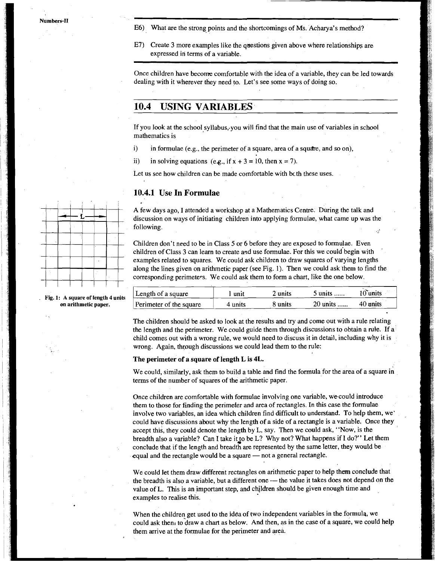- E6) What are the strong points and the shortcomings of Ms. Acharya's method?
- E7) Create 3 more examples like the questions given above where relationships are expressed in terms of a variable.

Once children have become comfortable with the idea of a variable, they can be led towards dealing with it wherever they need to. Let's see some ways of doing so.

### **10.4 USING VARIABLES**

If you look at the school syllabus,.you will find that the main use of variables in school mathematics is

i) in formulae (e.g., the perimeter of a square, area of a square, and so on),

ii) in solving equations (e.g., if  $x + 3 = 10$ , then  $x = 7$ ).

Let us see how children can be made comfortable with bcth these uses.

### **10.4.1 Use In Formulae**

A few days ago, I attended a workshop at a Mathematics Centre. During the talk and discussion on ways of initiating children into applying formulae, what came up was the following.

Children don't need to be in Class 5 or 6 before they are exposed to formulae. Even children of Class **3** can learn to create and use formulae. For this we could'begin with ' examples related to squares. We could ask children to draw squares of varying lengths along the lines given on arithmetic paper (see Fig. 1). Then we could ask them to find the corresponding perimeters. We could ask them to form a chart, like the one below.

| Length of a square      | unit    | 2 units | $5$ units | 10°units |
|-------------------------|---------|---------|-----------|----------|
| Perimeter of the square | 4 units | 8 units | 20 units  | 40 units |

The children should be asked to look at the results and try and come out with a rule relating the length and the perimeter. We could guide them through discussions to obtain a rule. If a child comes out with a wrong rule, we would need to discuss it in detail, including why it is wrong. Again, through discussions we could lead them to the rule:

#### **The perimeter of a square of length L is 4L.**

We could, similarly, ask them to build a table and find the formula for the area of a square in terms of the number of squares of the arithmetic paper.

Once children are comfortable with formulae involving one variable, we.could introduce them to those for finding the perimeter and area of rectangles. In this case the formulae involve two variables, an idea which children find difficult to understand. To help them, we' could have discussions about why the length of a side of a rectangle is a variable. Once they accept this, they could denote the length by L, say. Then we could ask, "Now, is the breadth also a variable? Can I take it to be L? Why not? What happens if I do?" Let them conclude that if the length and breadth are represented by the same letter, they would be equal and the rectangle would be a square  $-$  not a general rectangle.

We could let them draw different rectangles on arithmetic paper to help them conclude that the breadth is also a variable, but a different one - the value it takes does not depend on the value of L. This is an important step, and children should be given enough time and examples to realise this.

When the children get used to the idea of two independent variables in the formula, we could ask then, to draw a chart as below. And then, as in the case of a square, we could help them arrive at the formulae for the perimeter and area.



Fig. 1: A square of length 4 units **on arithmetic paper.**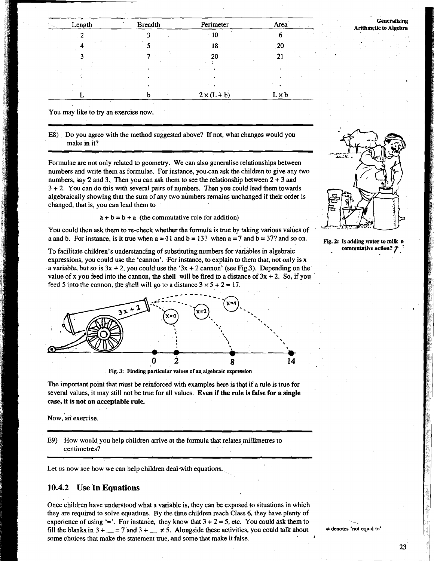| Length | <b>Breadth</b> | Perimeter          | Area         |
|--------|----------------|--------------------|--------------|
|        |                | 10                 |              |
|        |                | 18                 | 20           |
|        |                | 20                 | 21           |
|        |                |                    |              |
|        |                |                    |              |
|        |                |                    |              |
|        | h              | $2 \times (L + b)$ | $L \times b$ |

#### **Generalising Arithmetic to Algebra**

You may like to try an exercise now.

E8) Do you agree with the method surgested above? If not, what changes would you make in it?

Formulae are not only related to geometry. We can also generalise relationships between numbers and write them as formulae. For instance, you can ask the children to give any two numbers, say 2 and 3. Then you can ask them to see the relationship between  $2 + 3$  and 3 + **2.** You can do this with several pairs of numbers. Then you could lead them towards algebraically showing that the sum of any two numbers remains unchanged if their order is changed, that is, you can lead them to

 $a + b = b + a$  (the commutative rule for addition)

You could then ask them to re-check whether the formula is true by taking various values of a and b. For instance, is it true when  $a = 11$  and  $b = 13$ ? when  $a = 7$  and  $b = 37$ ? and so on.

To facilitate children's understanding of substituting numbers for variables in algebraic expressions, you could use the 'cannon'. For instance, to explain to them that, not only is x a variable, but so is  $3x + 2$ , you could use the ' $3x + 2$  cannon' (see Fig.3). Depending on the value of x you feed into the cannon, the shell will be fired to a distance of  $3x + 2$ . So, if you feed 5 into the cannon, the shell will go to a distance  $3 \times 5 + 2 = 17$ .





The important point that must be reinforced with examples here is that if a rule is true for several values, it may still not be true for all values. **Even** if **the rule is false for a single case, it is not an acceptable rule.** 

Now, an exercise.

E9) How would you help children arrive at the formula that relates millimetres to centimetres?

Let us now see how we can help children deal-with equations.

### **10.4.2 Use In Equations**

Once children have understood what a variable is, they can be exposed to situations in which they are required to solve equations. By the time children reach Class 6, they have plenty of experience of using  $=$ . For instance, they know that  $3 + 2 = 5$ , etc. You could ask them to fill the blanks in  $3 + \underline{\hspace{1cm}} = 7$  and  $3 + \underline{\hspace{1cm}} \neq 5$ . Alongside these activities, you could talk about some choices that make the statement true, and some that make it false.

**Fig. 2: Is adding water to milk a commutative action?** *T*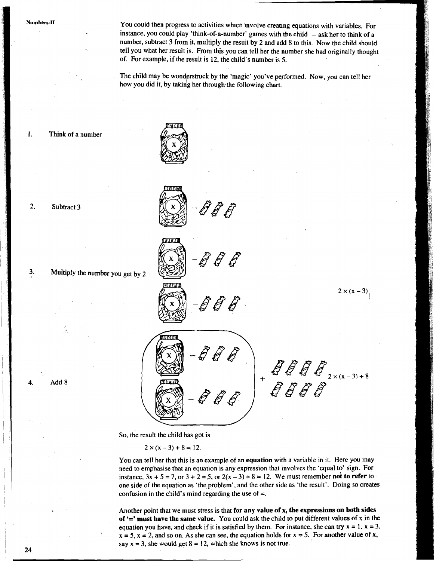Numbers-II You could then progress to activities which involve creating equations with variables. For<br>instance, you could play 'think-of-a-number' games with the child — ask her to think of a<br>mathematic of think of a number, subtract 3 from it, multiply the result by 2 and add 8 to this. Now the child should tell you what her result is. From this you can tell her the number she had originally thought of. For example, if the result is 12, the child's number is 5.

The child may be wonderstruck by the 'magic' you've performed. Now, you can tell her how you did it, by taking her through the following chart.

-888

1. Think of a number



2. Subtract 3

Add 8



**3.** Multiply the number you get by 2

 $2 \times (x-3)$ 

 $\begin{array}{l} \quad \textit{H} \\ \textit{H} \\ \textit{H} \\ \textit{H} \end{array} \begin{array}{l} \textit{H} \\ \textit{H} \\ \textit{H} \end{array} \begin{array}{l} \textit{H} \\ \textit{H} \\ \textit{H} \end{array} \begin{array}{l} \textit{H} \\ \textit{H} \end{array} \begin{array}{l} \textit{H} \\ \textit{H} \end{array} \begin{array}{l} \textit{H} \\ \textit{H} \end{array} \begin{array}{l} \textit{H} \\ \textit{H} \end{array} \begin{array}{l} \textit{H} \\ \$ 

So, the result the child has got is

 $2 \times (x-3) + 8 = 12.$ 

You can tell her that this is an example of an equation with a variable in it. Here you may need to emphasise that an equation is any expression that involves the 'equal to' sign. For instance,  $3x + 5 = 7$ , or  $3 + 2 = 5$ , or  $2(x - 3) + 8 = 12$ . We must remember not to refer to one side of the equation as 'the problem', and the other side as 'the result'. Doing so creates confusion in the child's mind regarding the use of  $=$ .

Another point that we must stress is that for any value of **x,** the expressions on both sides of '=' must have the same value. You could ask the child to put different values of **x** in the equation you have, and check if it is satisfied by them. For instance, she can try  $x = 1$ ,  $x = 3$ ,  $x = 5$ ,  $x = 2$ , and so on. As she can see, the equation holds for  $x = 5$ . For another value of x, say  $x = 3$ , she would get  $8 = 12$ , which she knows is not true.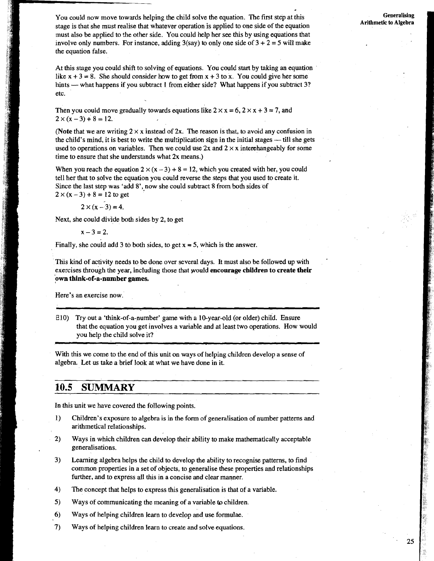You could now move towards helping the child solve the equation. The first step at this stage is that she must realise that whatever operation is applied to one side of the equation must also be applied to the other side. You could help her see this by using equations that involve only numbers. For instance, adding  $3$ (say) to only one side of  $3 + 2 = 5$  will make the equation false.

At this stage you could shift to solving of equations. You could start by taking an equation like  $x + 3 = 8$ . She should consider how to get from  $x + 3$  to x. You could give her some hints - what happens if you subtract 1 from either side? What happens if you subtract 3? etc.

Then you could move gradually towards equations like  $2 \times x = 6$ ,  $2 \times x + 3 = 7$ , and  $2 \times (x-3)+8=12.$ 

(Note that we are writing  $2 \times x$  instead of 2x. The reason is that, to avoid any confusion in the child's mind, it is best to write the multiplication sign in the initial stages  $-$  till she gets used to operations on variables. Then we could use 2x and  $2 \times x$  interchangeably for some time to ensure that she understands what 2x means.)

When you reach the equation  $2 \times (x - 3) + 8 = 12$ , which you created with her, you could tell her that to solve the equation you could reverse the steps that you used to create it. Since the last step was 'add 8', now she could subtract 8 from both sides of  $2 \times (x-3) + 8 = 12$  to get

$$
2 \times (x - 3) = 4.
$$

Next, she could divide both sides. by 2, to get

$$
x-3=2.
$$

Finally, she could add 3 to both sides, to get  $x = 5$ , which is the answer.

This kind of activity needs to be done over several days. It must also be followed up with ' exercises through the year, including those that would encourage children to create their 'own think-of-a-number games.

Here's an exercise now.

E10) Try out a 'think-of-a-number' game with a 10-year-old (or older) child. Ensure that the equation you get involves a variable and at least two operations. How would you help the child solve it?

With this we come to the end of this unit on ways of helping children develop a sense of algebra. Let us take a brief look at what we have done in it.

### **10.5 SUMMARY**

In this unit we have covered the following points.

- **1)** Children's exposure to algebra is in the form of generalisation of number patterns and arithmetical relationships.
- 2) Ways in which children can develop their ability to make mathematically acceptable generalisations.
- 3) Learning algebra helps the child to develop the ability to recognise patterns, to find common properties in a set of objects, to generalise these properties and relationships further, and to express all this in a concise and clear manner.
- **4)** The concept that helps to express this generalisation is that of a variable.
- **5)** Ways of communicating the meaning of a variable to children.
- *6)* Ways of helping children learn to develop and use formulae.
- **7)** Ways of helping children learn to create and solve equations.